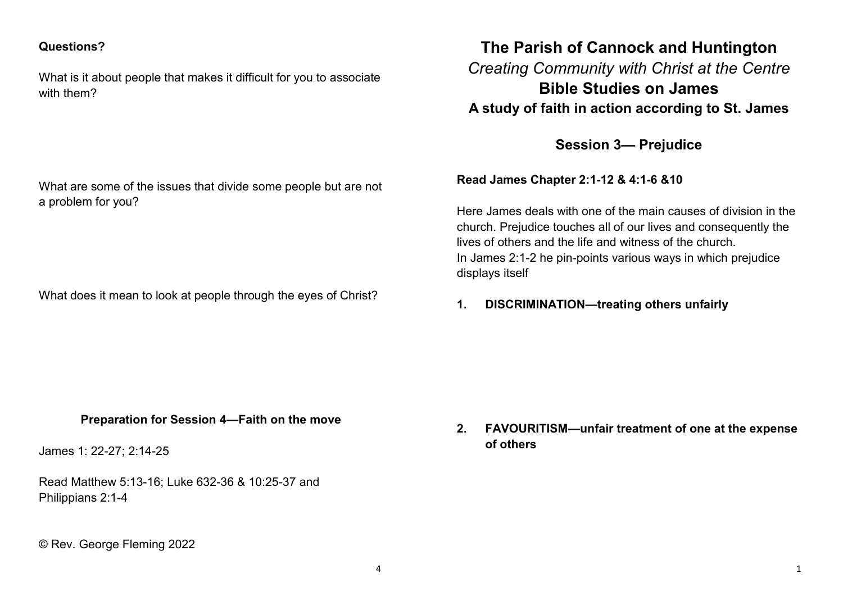#### **Questions?**

What is it about people that makes it difficult for you to associate with them?

What are some of the issues that divide some people but are not a problem for you?

What does it mean to look at people through the eyes of Christ?

# **The Parish of Cannock and Huntington** *Creating Community with Christ at the Centre* **Bible Studies on James A study of faith in action according to St. James**

**Session 3— Prejudice** 

**Read James Chapter 2:1-12 & 4:1-6 &10**

Here James deals with one of the main causes of division in the church. Prejudice touches all of our lives and consequently the lives of others and the life and witness of the church. In James 2:1-2 he pin-points various ways in which prejudice displays itself

**1. DISCRIMINATION—treating others unfairly**

#### **Preparation for Session 4—Faith on the move**

James 1: 22-27; 2:14-25

Read Matthew 5:13-16; Luke 632-36 & 10:25-37 and Philippians 2:1-4

© Rev. George Fleming 2022

**2. FAVOURITISM—unfair treatment of one at the expense of others**